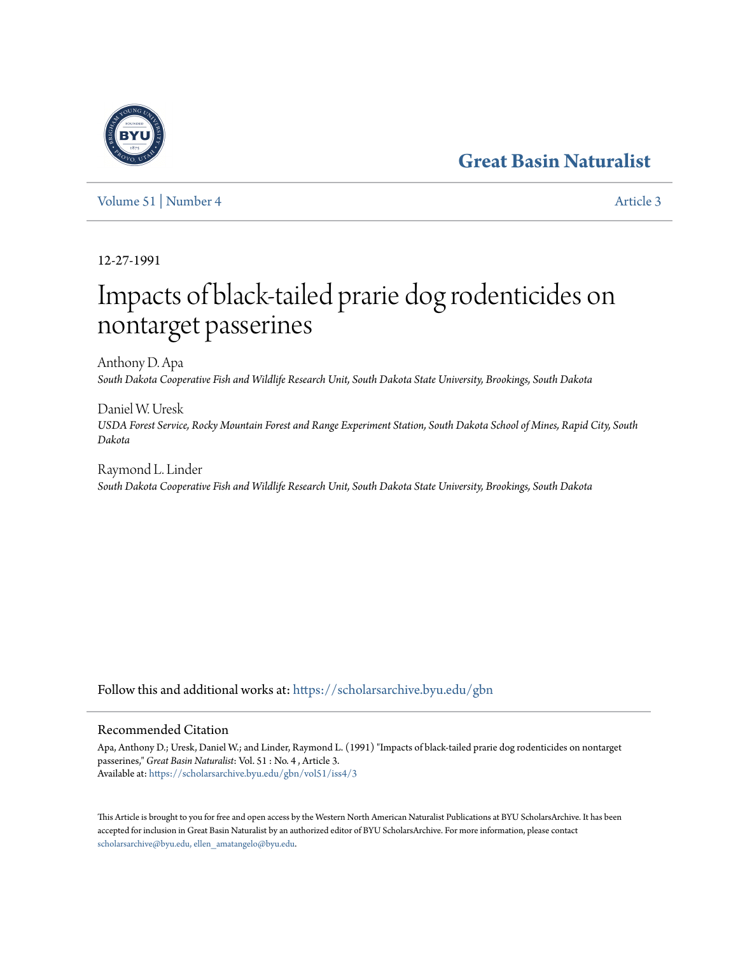# **[Great Basin Naturalist](https://scholarsarchive.byu.edu/gbn?utm_source=scholarsarchive.byu.edu%2Fgbn%2Fvol51%2Fiss4%2F3&utm_medium=PDF&utm_campaign=PDFCoverPages)**



[Volume 51](https://scholarsarchive.byu.edu/gbn/vol51?utm_source=scholarsarchive.byu.edu%2Fgbn%2Fvol51%2Fiss4%2F3&utm_medium=PDF&utm_campaign=PDFCoverPages) | [Number 4](https://scholarsarchive.byu.edu/gbn/vol51/iss4?utm_source=scholarsarchive.byu.edu%2Fgbn%2Fvol51%2Fiss4%2F3&utm_medium=PDF&utm_campaign=PDFCoverPages) [Article 3](https://scholarsarchive.byu.edu/gbn/vol51/iss4/3?utm_source=scholarsarchive.byu.edu%2Fgbn%2Fvol51%2Fiss4%2F3&utm_medium=PDF&utm_campaign=PDFCoverPages)

12-27-1991

# Impacts of black-tailed prarie dog rodenticides on nontarget passerines

Anthony D. Apa *South Dakota Cooperative Fish and Wildlife Research Unit, South Dakota State University, Brookings, South Dakota*

Daniel W. Uresk *USDA Forest Service, Rocky Mountain Forest and Range Experiment Station, South Dakota School of Mines, Rapid City, South Dakota*

Raymond L. Linder *South Dakota Cooperative Fish and Wildlife Research Unit, South Dakota State University, Brookings, South Dakota*

Follow this and additional works at: [https://scholarsarchive.byu.edu/gbn](https://scholarsarchive.byu.edu/gbn?utm_source=scholarsarchive.byu.edu%2Fgbn%2Fvol51%2Fiss4%2F3&utm_medium=PDF&utm_campaign=PDFCoverPages)

# Recommended Citation

Apa, Anthony D.; Uresk, Daniel W.; and Linder, Raymond L. (1991) "Impacts of black-tailed prarie dog rodenticides on nontarget passerines," *Great Basin Naturalist*: Vol. 51 : No. 4 , Article 3. Available at: [https://scholarsarchive.byu.edu/gbn/vol51/iss4/3](https://scholarsarchive.byu.edu/gbn/vol51/iss4/3?utm_source=scholarsarchive.byu.edu%2Fgbn%2Fvol51%2Fiss4%2F3&utm_medium=PDF&utm_campaign=PDFCoverPages)

This Article is brought to you for free and open access by the Western North American Naturalist Publications at BYU ScholarsArchive. It has been accepted for inclusion in Great Basin Naturalist by an authorized editor of BYU ScholarsArchive. For more information, please contact [scholarsarchive@byu.edu, ellen\\_amatangelo@byu.edu.](mailto:scholarsarchive@byu.edu,%20ellen_amatangelo@byu.edu)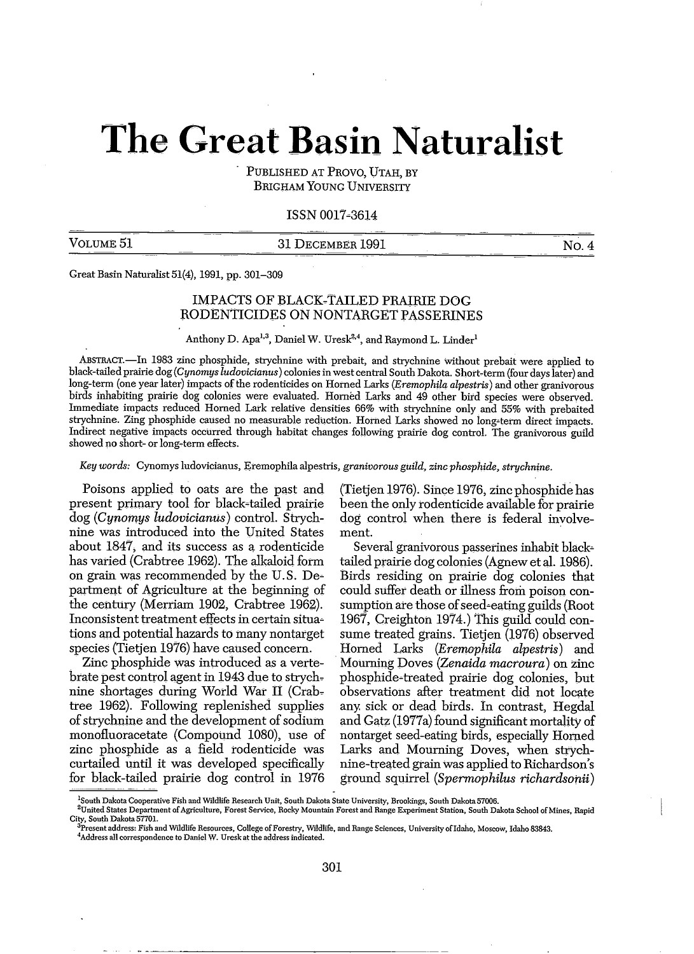# **The Great Basin Naturalist**

PUBLISHED AT PROVO, UTAH, BY BRIGHAM YOUNG UNIVERSITY

# ISSN 0017~3614

VOLUME 51 31 DECEMBER 1991 NO.4

Great Basin Naturalist 51(4), 1991, pp. 301-309

# IMPACTS OF BLACK-TAILED PRAIRIE DOG RODENTICIDES ON NONTARGET PASSERINES

Anthony D. Apa<sup>1,3</sup>, Daniel W. Uresk<sup>2,4</sup>, and Raymond L. Linder<sup>1</sup>

ABSTRACT.-In 1983 zinc phosphide, strychnine with prebait, and strychnine without prebait were applied to black-tailed prairie dog *(Cynomys ludovicianus)* colonies in west central South Dakota. Short-term (four days later) and long-term (one year later) impacts of the rodenticides on Horned Larks *(Eremophila alpestris*) and other granivorous birds inhabiting prairie dog colonies were evaluated. Homed Larks and 49 other bitd species were observed. Immediate impacts reduced Homed Lark relative densities 66% with strychnine only. and 55% with prebaited strychnine. Zing phosphide caused no measurable reduction. Horned Larks showed no long-term direct impacts. Indirect negative impacts occurred through habitat changes following prairie dog control. The granivorous<sup>-</sup>guild showed no short- or long-term effects.

*Key words:* Cynomys ludovicianus, Eremophila alpestris, *granivorous guild, zinc phosphide, strychnine.*

Poisons applied to oats are the past and present primary tool for black-tailed prairie dog *(Cyno'mYs ludovicianus)* control. Strychnine was introduced into the United States about 1847, and its success as a rodenticide has varied (Crabtree 1962). The alkaloid form on grain was recommended by the U.S. De~ partment of Agriculture at the beginning of the century (Merriam 1902, Crabtree 1962). Inconsistent treatment effects in certain situa~ tions and potential hazards to many nontarget species (Tietjen 1976) have caused concern.

Zinc phosphide was introduced as a vertebrate pest control agent in 1943 due to strychnine shortages during World War II (Crabtree 1962). FollOwing replenished supplies of strychnine and the development of sodium monofluoracetate (Compound 1080), use of zinc phosphide as a field rodenticide Was curtailed until it was developed specifically for black-tailed prairie dog control in 1976

(Tietjen 1976). Since 1976, zinc phosphide has been the only rodenticide available for prairie dog control when there is federal involvement.

Several granivorous passerines inhabit black~ tailed prairie dog colonies (Agnew et aI. 1986). Birds residing on prairie dog colonies that could suffer death or illness from poison consumption are those of seed-eating guilds (Root 1967, Creighton 1974.) This guild could consume treated grains. Tietjen (1976) observed Horned Larks *(Eremophila alpestris)* and Mourning Doves *(Zenaida macroura)* on zinc phosphide~treated prairie dog colonies, but observations after treatment did not locate any. sick or dead birds. In contrast, Hegdal and Gatz (1977a) found significant mortality of nontarget seed~eating birds, especially Homed Larks and Mourning Doves, when strychnine-treated grain Was applied to Richardson's ground squirrel *(Spermophilus richardso'rtii)*

<sup>&</sup>lt;sup>1</sup>South Dakota Cooperative Fish and Wildlife Research Unit, South Dakota State University, Brookings, South Dakota 57006.

<sup>&</sup>lt;sup>- z</sup>United States Department of Agriculture, Forest Service, Rocky Mountain Forest and Range Experiment Station, South Dakota School of Mines, Rapid<br>City, South Dakota 57701.

<sup>.&</sup>lt;br>Present address: Fish and Wildlife Resources, College of Forestry, Wildlife, and Range Sciences, University of Idaho, Moscow, Idaho 83843. **4Address all correspondence to Daniel W. Uresk at the address indicated.**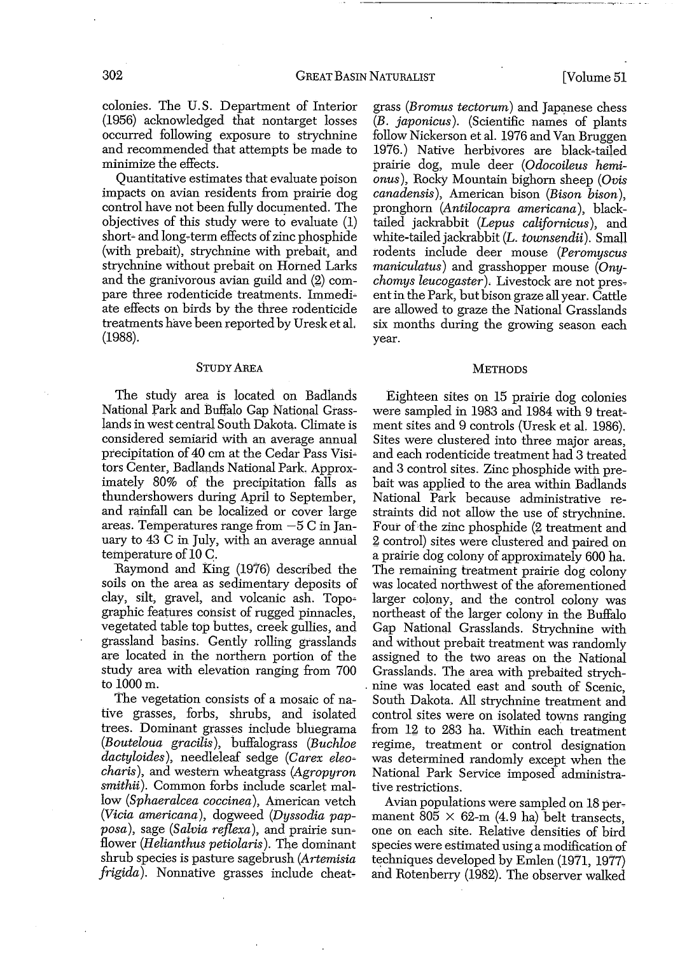colonies. The U.S. Department of Interior (1956) acknowledged that nontarget losses occurred following exposure to strychnine and recommended that attempts be made to minimize the effects.

Quantitative estimates that evaluate poison impacts on avian residents from prairie dog control have not been fully documented. The objectives of this study were to evaluate (1) short- and long-term effects of zinc phosphide (with prebait), strychnine with prebait, and strychnine without prebait on Horned Larks and the granivorous avian guild and (2) compare three rodenticide treatments. Immediate effects on birds by the three rodenticide treatments have been reported by Uresk et aL (1988).

#### STUDY AREA

The study area is located on Badlands National Park and Buffalo Gap National Grasslands in west central South Dakota, Climate is considered semiarid with an average annual precipitation of 40 cm at the Cedar Pass Visitors Center, Badlands National Park. Approximately 80% of the precipitation falls as thundershowers during April to September, and rainfall can be localized or cover large areas. Temperatures range from  $-5$  C in January to 43 C in July, with an average annual temperature of 10 C.

Raymond and king (1976) described the soils on the area as sedimentary deposits of clay, silt, gravel, and volcanic ash. Topographic features consist of rugged pinnacles, vegetated table top buttes, creek gullies, and grassland basins. Gently rolling grasslands are located in the northern portion of the study area with elevation ranging from 700 to 1000m.

The vegetation consists of a mosaic of native grasses, forbs, shrubs, and isolated trees. Dominant grasses include bluegrama *(Bouteloua gracilis),* buffalograss *(Buchloe dactyloides),* needleleaf sedge *(Carex* eleo~ *charis),* 3.Ild western wheatgrass *(Agropyron smithii).* Common forbs include scarlet mallow *(Sphaeralcea coccinea),* American vetch *(Vicia americana),* dogweed *(Dyssodia papposa*), sage *(Salvia reflexa)*, and prairie sunflower *(Helianthus petiolaris).* The dominant shrub species is pasture sagebrush *(Artemisia frigida*). Nonnative grasses include cheatgrass *(Bromus tectorum)* and Japanese chess *(B. japonicus).* (SCientific names of plants follow Nickerson et al. 1976 and Van Bruggen 1976.) Native herbivores are black-tailed prairie dog, mule deer *(Odocoileus hemionus),* Rocky Mountain bighorn sheep *(Ovis canadensis),* American bison *(Bison bison),* pronghorn *(Antilocapra americana),* blacktailed jackrabbit *(Lepus californicus),* and white-tailed jackrabbit (L. *townsendii).* Small rodents include deer mouse *(Peromyscus maniculatus)* and grasshopper mouse *(Onychomys leucogaster).* Livestock are not pres~ ent in the Park, but bison graze all year. Cattle are allowed to graze the National Grasslands six months during the growing season each year.

#### **METHODS**

Eighteen sites on 15 prairie dog colonies were sampled in 1983 and 1984 with 9 treatment sites and 9 controls (Uresk et al. 1986). Sites were clustered into three major areas, and each rodenticide treatment had 3 treated and 3 control sites. Zinc phosphide with prebait was applied to the area within Badlands National Park because administrative restraints did not allow the use of strychnine. Four of the zinc phosphide (2 treatment and 2 control) sites were clustered and paired on a prairie dog colony of approximately 600 ha. The remaining treatment prairie dog colony was located northwest of the aforementioned larger colony, and the control colony was northeast of the larger colony in the Buffalo Gap National Grasslands. Strychnine with and without prebait treatment was randomly assigned to the two areas on the National Grasslands. The area with prebaited strych- . nine was located east and south of Scenic, South Dakota. All strychnine treatment and control sites were on isolated towns ranging from 12 to 283 ha. Within each treatment regime, treatment or control designation was determined randomly except when the National Park Service imposed administrative restrictions.

Avian populations were sampled on 18 per~ manent 805  $\times$  62-m (4.9 ha) belt transects, one on each site. Relative densities of bird species were estimated using a modification of techniques developed by Emlen (1971, 1977) and Rotenberry (1982). The observer walked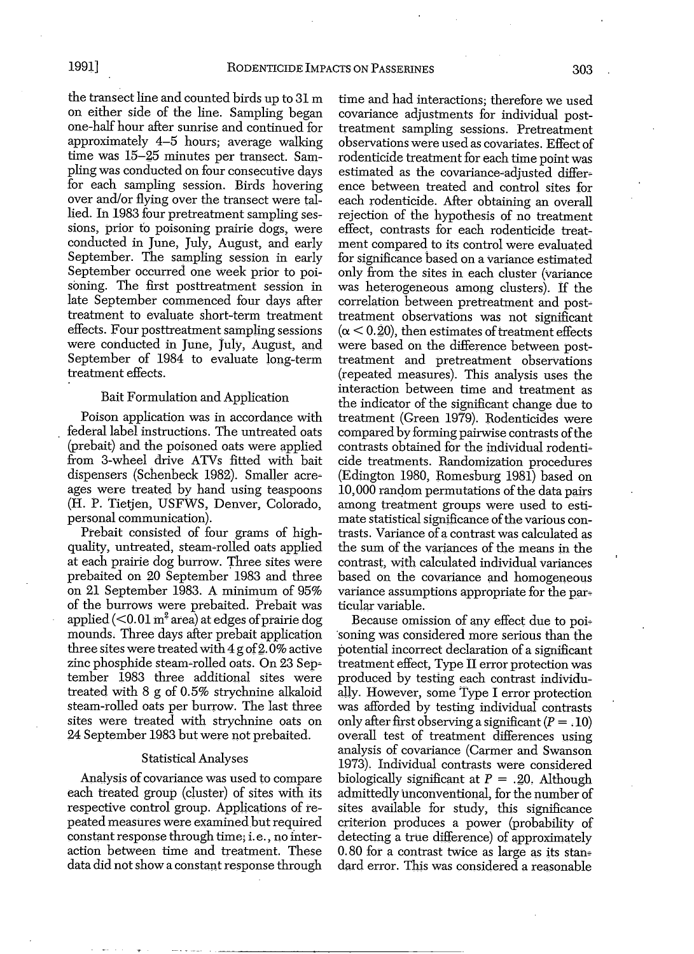the transect line and counted birds up to 31 m on either side of the line. Sampling began one-half hour after sunrise and continued for approximately 4-5 hours; average walking time was 15-25 minutes per transect. Sampling was conducted on four consecutive days for each sampling session. Birds hovering over and/or flying over the transect were tallied. In 1983 four pretreatment sampling sessions, prior to poisoning prairie dogs, Were conducted in June, July, August, and early September. The sampling session in early September occurred one week prior to poisoning. The first posttreatment session in late September commenced four days after treatment to evaluate short-term treatment effects. Four posttreatment sampling sessions were conducted in June, July, August, and September of 1984 to evaluate long-term treatment effects.

#### Bait Formulation and Application

Poison application was in accordance with federal label instructions. The untreated oats (prebait) and the poisoned oats were applied from 3-wheel drive ATVs fitted with bait dispensers (Schenbeck 1982). Smaller acreages were treated by hand using teaspoons (H. P. Tietjen, USFWS, Denver, Colorado, personal communication).

Prebait consisted of four grams of highquality, untreated, steam~rolled oats applied at each prairie dog burrow. Three sites Were prebaited on 20 September 1983 and three on 21 September 1983. A minimum of 95% of the burrows were prebaited. Prebait was applied  $\left($  < 0.01 m<sup>2</sup> area) at edges of prairie dog mounds. Three days after prebait application three sites were treated with  $4$  g of  $2.0\%$  active zinc phosphide steam-rolled oats. On 23 September 1983 three additional sites were treated with 8 g of 0.5% strychnine alkaloid steam-rolled oats per burrow. The last three sites were treated with strychnine oats on 24 September 1983 but were not prebaited.

# Statistical Analyses

Analysis of covariance was used to compare each treated group (cluster) of sites with its respective control group. Applications of repeatedmeasures were examined but required constantresponse through time; i. e., no interaction between time and treatment. These data did not show a constant response through time and had interactions; therefore we used covariance adjustments for individual posttreatment sampling sessions. Pretreatment observations were used as covariates. Effect of rodenticide treatment for each time point was estimated as the covariance-adjusted difference between treated and control sites for each rodenticide. After obtaining an overall rejection of the hypothesis of no treatment effect, contrasts for each rodenticide treatment compared to its control were evaluated for significance based on a variance estimated only from the sites in each cluster (variance was heterogeneous among clusters). If the correlation between pretreatment and posttreatment observations was not significant  $(\alpha < 0.20)$ , then estimates of treatment effects were based on the difference between posttreatment and pretreatment observations (repeated measures). This analysis uses the interaction between time and treatment as the indicator of the Significant change due to treatment (Green 1979). Rodenticides were compared by forming pairwise contrasts of the contrasts obtained for the individual rodenti~ cide treatments. Randomization procedures (Edington 1980, Romesburg 1981) based on 10,000 random permutations of the data pairs among treatment groups were used to estimate statistical significance of the various contrasts. Variance of a contrast was calculated as the sum of the variances of the means in the contrast, with calculated individual variances based on the covariance and homogeneous variance assumptions appropriate for the particular variable.

Because omission of any effect due to poi-'soning was considered more serious than the potential incorrect declaration of a significant treatment effect, Type II error protection was produced by testing each contrast individu~ ally. However, some *Type* I error protection was afforded by testing individual contrasts only after first observing a significant ( $P = .10$ ) overall test of treatment differences using analysis of covariance (Carmer and Swanson 1973). Individual contrasts were considered biologically significant at  $P = .20$ . Although admittedly unconventional, for the number of sites available for study, this significance criterion produces a power (probability of detecting a true difference) of approximately  $0.80$  for a contrast twice as large as its standard error. This was considered a reasonable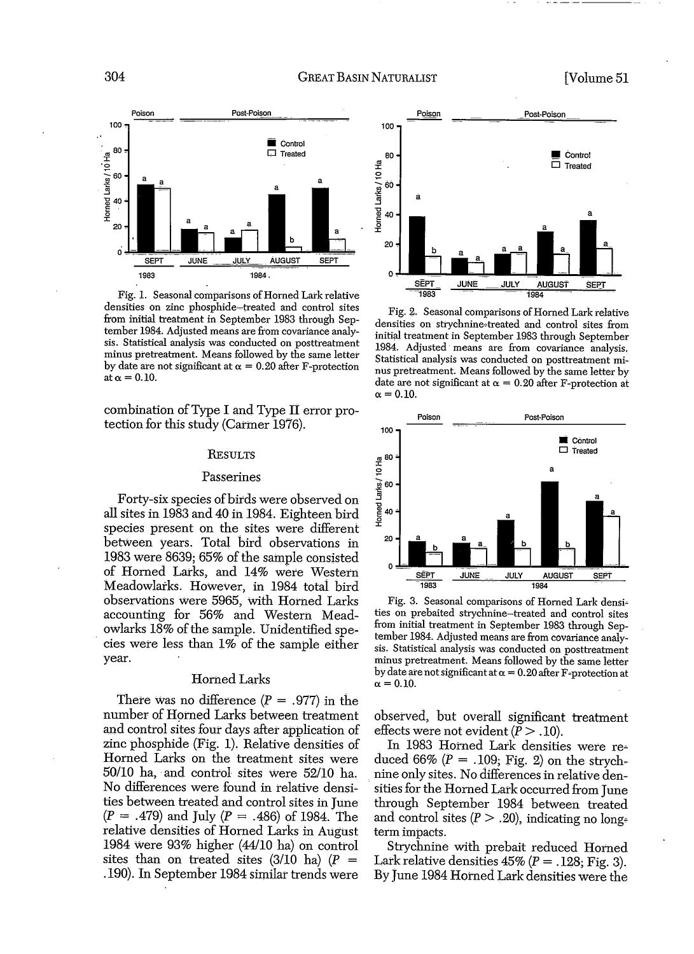

Fig. 1. Seasonal comparisons of Horned Lark relative densities on zinc phosphide~treated and control sites from initial treatment in September 1983 through September 1984. Adjusted means are from covariance analysis. Statistical anaiysis was conducted on posttreatment minus pretreatment. Means followed by the same letter by date are not significant at  $\alpha = 0.20$  after F-protection at  $\alpha = 0.10$ .

combination of Type I and Type II error protection for this study (Carmer 1976).

#### RESULTS

#### Passerines

Forty-six species of birds were observed on all sites in 1983 and 40 in 1984. Eighteen bird species present on the sites were different between years. Total bird observations in 1983 were 8639; 65% of the sample consisted of Homed Larks, and 14% were Western Meadowlarks. However, in 1984 totai bird obserVations Were 5965, With Horned Larks accounting for 56% and Western Meadowlarks 18% of the sample. Unidentified species were less than 1% of the sample either year.

# Horned Larks

There was no difference  $(P = .977)$  in the number of Horned Larks between treatment and control sites four days after application of zinc phosphide (Fig. 1). Relative densities of Horned Larks on the treatment sites were *50/10* ha, and control sites Were *52/10* ha. No differences were found in relative densities between treated and control sites in June  $(P = .479)$  and July  $(P = .486)$  of 1984. The relative densities of Homed Larks in August 1984 Were 93% higher (44/10 ha) on control sites than on treated sites  $(3/10)$  ha)  $(P =$ .190). **In** September 1984 similar trends were



Fig. 2. Seasonal comparisons of Horned Lark relative densities on strychnine.treated and control sites from initial treatment in September 1983 through September 1984. Adjusted means are from covariance analysis. Statistical analysis was conducted on posttreatment minus pretreatment. Means followed by the same letter by date are not significant at  $\alpha = 0.20$  after F-protection at  $\alpha = 0.10$ .



Fig. 3. Seasonal comparisons of Horned Lark densi~ ties on prebaited strychnine-treated and control sites from initial treatment in September 1983 through September 1984. Adjusted means are from covariance analysis. Statistical analysis was conducted on posttreatment minus pretreatment. Means followed by the same letter by date are not significant at  $\alpha = 0.20$  after F-protection at  $\alpha = 0.10$ .

observed, but overall significant treatment effects were not evident  $(\overline{P} > .10)$ .

**In** 1983 Horned Lark densities were re~ duced 66%  $(P = .109; Fig. 2)$  on the strychnine only sites. No differences in relative densities for the Horned Lark occurred from June through September 1984 between treated and control sites  $(P > .20)$ , indicating no longterm impacts.

Strychnine with prebait reduced Horned Lark relative densities  $45\%$  (P = .128; Fig. 3). By June 1984 Horned Lark densities were the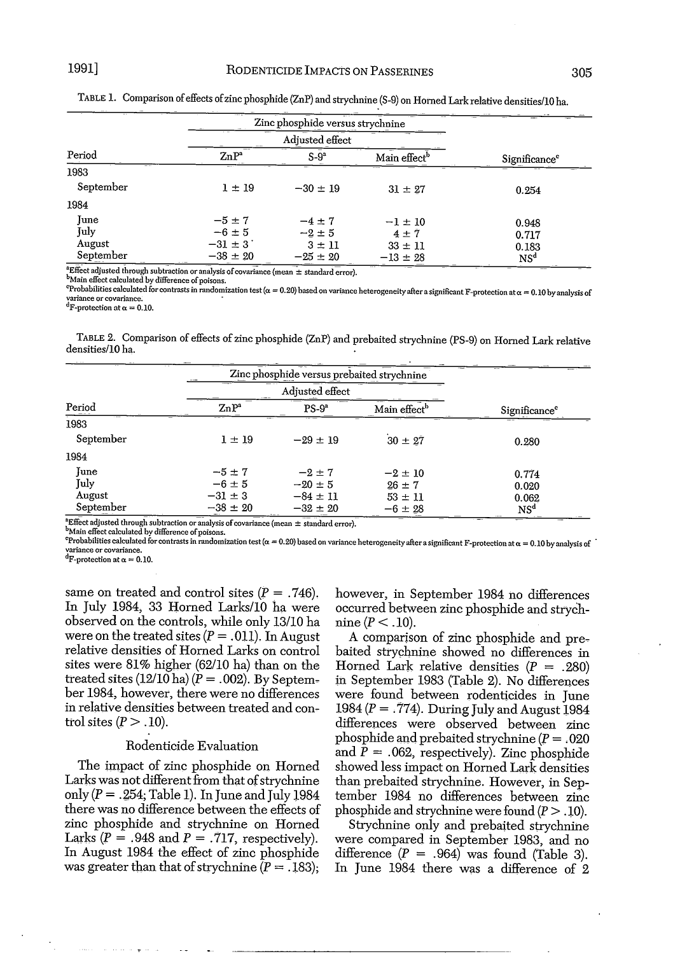|                            | Zinc phosphide versus strychnine |              |                          |                           |  |
|----------------------------|----------------------------------|--------------|--------------------------|---------------------------|--|
|                            |                                  |              |                          |                           |  |
| Period                     | $ZnP^a$                          | $S-9^a$      | Main effect <sup>b</sup> | Significance <sup>c</sup> |  |
| 1983                       |                                  |              |                          |                           |  |
| September                  | $1 \pm 19$                       | $-30 \pm 19$ | $31 \pm 27$              | 0.254                     |  |
| 1984                       |                                  |              |                          |                           |  |
| June                       | $-5 \pm 7$                       | $-4 \pm 7$   | $-1 \pm 10$              | 0.948                     |  |
| July                       | $-6 \pm 5$                       | $-2 \pm 5$   | $4 \pm 7$                | 0.717                     |  |
| August                     | $-31 \pm 3$                      | $3 \pm 11$   | $33 \pm 11$              | 0.183                     |  |
| September<br>$\frac{1}{2}$ | $-38 \pm 20$                     | $-25 \pm 20$ | $-13 \pm 28$             | NS <sup>d</sup>           |  |

TABLE 1. Comparison ofeffects ofzinc phosphide (ZnP) and strychnine (S-9) on Homed Lark relative densities/10 ha.

Effect adjusted through subtraction or analysis of covariance (mean  $\pm$  standard error).

 $^{\text{b}}$ Main effect calculated by difference of poisons.

Probabilities calculated for contrasts in randomization test ( $\alpha = 0.20$ ) based on variance heterogeneity after a significant F-protection at  $\alpha = 0.10$  by analysis of variance or covariance. *dF***-protection at**  $\alpha = 0.10$ **.** 

TABLE 2. Comparison of effects of zinc phosphide (ZnP) and prebaited strychnine (PS-9) on Horned Lark relative densities/10 ha.

|           | Zinc phosphide versus prebaited strychnine |              |                          |                           |  |
|-----------|--------------------------------------------|--------------|--------------------------|---------------------------|--|
|           |                                            |              |                          |                           |  |
| Period    | $\mathbf{Zn}\mathbf{P}^a$                  | $PS-9a$      | Main effect <sup>b</sup> | Significance <sup>c</sup> |  |
| 1983      |                                            |              |                          |                           |  |
| September | $1 \pm 19$                                 | $-29 \pm 19$ | $30 \pm 27$              | 0.280                     |  |
| 1984      |                                            |              |                          |                           |  |
| June      | $-5 \pm 7$                                 | $-2 \pm 7$   | $-2 \pm 10$              | 0.774                     |  |
| July      | $-6 \pm 5$                                 | $-20 \pm 5$  | $26 \pm 7$               | 0.020                     |  |
| August    | $-31 \pm 3$                                | $-84 \pm 11$ | $53 \pm 11$              | 0.062                     |  |
| September | $-38 \pm 20$                               | $-32 \pm 20$ | $-6 \pm 28$              | NS <sup>d</sup>           |  |

**Effect** adjusted through subtraction or analysis of covariance (mean  $\pm$  standard error).

**b**Main effect calculated by difference of poisons.

construct the second form of the contrasts in randomization test ( $\alpha = 0.20$ ) based on variance heterogeneity after a significant F-protection at  $\alpha = 0.10$  by analysis of variance or covariance. **variance or covariance.** dF-protection at *a* = 0.10.

same on treated and control sites  $(P = .746)$ . In July 1984, 33 Horned Larks/l0 ha were observed on the controls, while only 13/10 ha were on the treated sites  $(P=.011)$ . In August relative densities of Horned Larks on control sites were 81% higher (62/10 ha) than on the treated sites  $(12/10 \text{ ha}) (P = .002)$ . By September 1984, however, there were no differences in relative densities between treated and control sites  $(P > .10)$ .

# Rodenticide Evaluation

The impact of zinc phosphide on Horned Larks was not different from that of strychnine only  $(P = .254;$  Table 1). In June and July 1984 there was no difference between the effects of zinc phosphide and strychnine on Horned Larks ( $P = .948$  and  $P = .717$ , respectively). In August 1984 the effect of zinc phosphide was greater than that of strychnine  $(P = .183)$ ;

however, in September 1984 no differences occurred between zinc phosphide and strychnine  $(P < .10)$ .

A comparison of zinc phosphide and pre~ baited strychnine showed no differences in Horned Lark relative densities  $(P = .280)$ in September 1983 (Table 2). No differences were found between rodenticides in June 1984 ( $P = .774$ ). During July and August 1984 differences were observed between zinc phosphide and prebaited strychnine ( $P = .020$ and  $P = .062$ , respectively). Zinc phosphide showed less impact on Horned Lark densities than prebaited strychnine. However, in September 1984 no differences between zinc phosphide and strychnine were found  $(P > .10)$ .

Strychnine only and prebaited strychnine were compared in September 1983, and no difference  $(P = .964)$  was found (Table 3). In June 1984 there was a difference of 2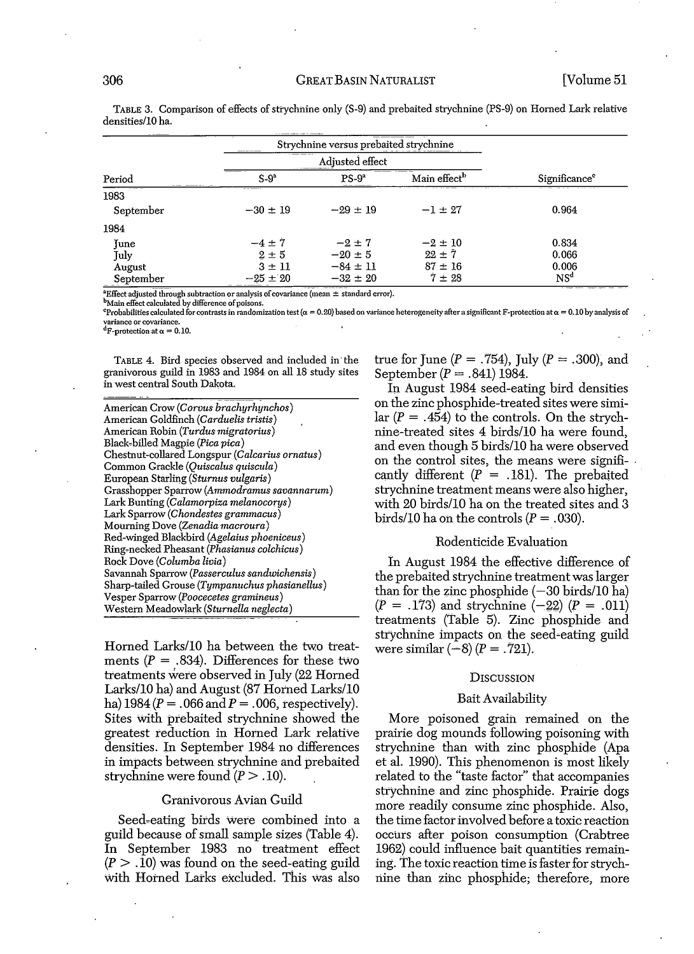| Period                           | Strychnine versus prebaited strychnine<br>_____ |                        |                          |                           |
|----------------------------------|-------------------------------------------------|------------------------|--------------------------|---------------------------|
|                                  | .                                               |                        |                          |                           |
|                                  | $S-9a$                                          | $PS-9a$                | Main effect <sup>b</sup> | Significance <sup>e</sup> |
| $\overline{\phantom{a}}$<br>1983 | ------                                          |                        |                          |                           |
| September                        | $-30 \pm 19$                                    | $-29 \pm 19$           | $-1 \pm 27$              | 0.964                     |
| 1984                             |                                                 |                        |                          |                           |
| June                             | $-4 \pm 7$                                      | $-2 \pm 7$             | $-2 \pm 10$              | 0.834                     |
| July                             | $2 \pm 5$                                       | $-20 \pm 5$            | $22 \pm 7$               | 0.066                     |
| August                           | $3 \pm 11$                                      | $-84 \pm 11$           | $87 \pm 16$              | 0.006                     |
| September<br>-------             | $-25 \pm 20$                                    | $-32 \pm 20$<br>------ | $7 \pm 28$               | NS <sup>d</sup>           |

TABLE 3. Comparison of effects of strychnine only (S-9) and prebaited strychnine (PS-9) on Horned Lark relative densities/l0 ha.

 $^{\text{a}}$ Effect adjusted through subtraction or analysis of covariance (mean  $\pm$  standard error).

**Main effect calculated by difference of poisons.** 

<sup>e</sup>Probabilities calculated for contrasts in randomization test ( $\alpha = 0.20$ ) based on variance heterogeneity after a significant F-protection at  $\alpha = 0.10$  by analysis of **variance or covariance.**

 ${}^d$ F-protection at  $\alpha = 0.10$ .

TABLE 4. Bird species observed and included in· the granivorous guild in 1983 and 1984 on all 18 study sites in west central South Dakota.

American Crow *(Corvus brachyrhynchos)* American Goldfinch *(Carduelis tristis)* American Robin *(Turdus migratorius)* Black"billed Magpie *(Pica pica)* Chestnut-collared Longspur *(Calcarius ornatus)* Common Grackle *(Quiscalus quiscula)* European Starling *(Sturnus vulgaris)* Grasshopper Sparrow *(Ammodramus savannarum)* Lark Bunting *(Calamorpiza melanocorys)* Lark Sparrow *(Chondestes grammacus)* Mourning Dove *(Zenadia macroura)* Red-Winged Blackbird *(Agelaius phoeniceus)* Ring"necked Pheasant *(Phasianus colchicus)* Rock Dove *(Columba livia)* Savannah Sparrow *(Passerculus sandwichensis)* Sharp-tailed Grouse *(Tympanuchus phasianellus)* Vesper Sparrow *(Poocecetes gramineus)* Western Meadowlark *(Sturnetla neglecta)*

Horned Larks/10 ha between the two treatments  $(P = .834)$ . Differences for these two treatments were observed in July (22 Homed Larks/10 ha) and August (81 Horned Larks/10 ha)  $1984 (P = .066$  and  $P = .006$ , respectively). Sites with prebaited strychnine showed the greatest reduction in Homed Lark relative densities. In September 1984 no differences in impacts between strychnine and prebaited strychnine were found  $(P > .10)$ .

#### Granivorous Avian Guild

Seed-eating birds were combined into a guild because of small sample sizes (Table 4). In September 1983 no treatment effect  $(P > .10)$  was found on the seed-eating guild with Horned Larks excluded. This was also

true for June ( $P = .754$ ), July ( $P = .300$ ), and September ( $P = .841$ ) 1984.

In August 1984 seed-eating bird densities on the zinc phosphide-treated sites were similar  $(P = .454)$  to the controls. On the strychnine-treated sites 4 birds/10 ha were found, and even though 5 birds/lO ha were observed on the control sites, the means were signifi- . cantly different  $(P = .181)$ . The prebaited strychnine treatment means were also higher, with 20 bird*silO* ha on the treated sites and 3 birds/10 ha on the controls  $(P = .030)$ .

#### Rodenticide Evaluation

In August 1984 the effective difference of the prebaited strychnine treatmentwas larger than for the zinc phosphide  $(-30 \text{ birds}/10 \text{ ha})$  $(P = .173)$  and strychnine  $(-22)$   $(P = .011)$ treatments (Table 5). Zinc phosphide and strychnine impacts on the seed-eating guild were similar  $(-8)$   $(P = .721)$ .

#### **DISCUSSION**

#### Bait Availability

More poisoned grain remained on the prairie dog mounds following poisoning with strychnine than with zinc phosphide (Apa et al. 1990). This phenomenon is most likely related to the "taste factor" that accompanies strychnine and zinc phosphide. Prairie dogs more readily consume zinc phosphide. Also, the time factor involved before a toxic reaction occurs after poison consumption (Crabtree 1962) could influence bait quantities remaining. The toxic reaction time is faster for strychnine than zinc phosphide; therefore, more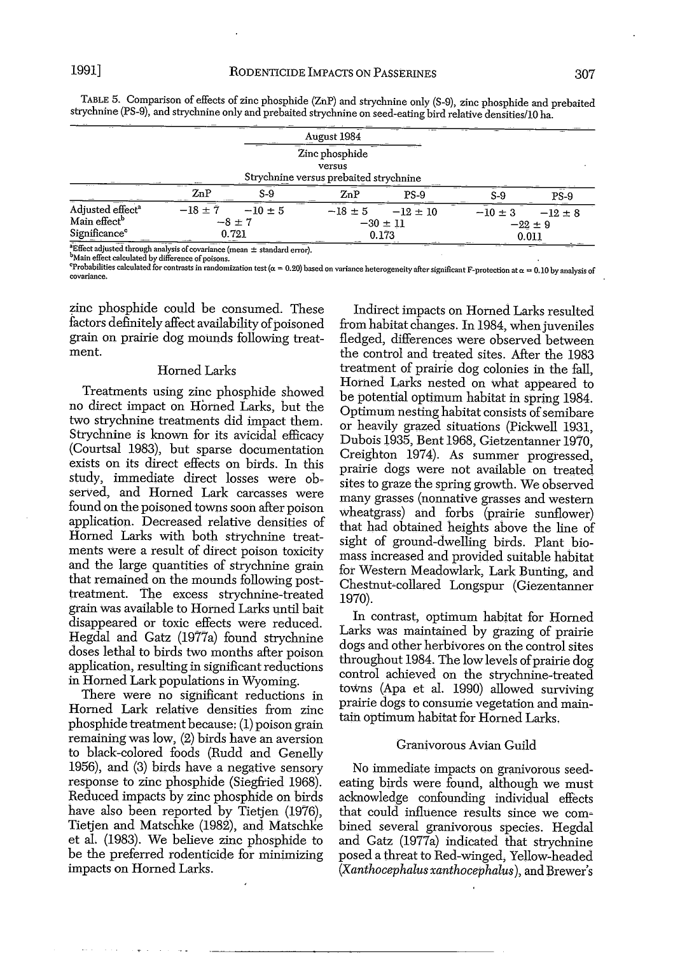|  |  | ۹ |
|--|--|---|
|  |  |   |
|  |  |   |
|  |  |   |

|                                                                                       |             |                                    | August 1984                                                        |                                       |             |                                     |
|---------------------------------------------------------------------------------------|-------------|------------------------------------|--------------------------------------------------------------------|---------------------------------------|-------------|-------------------------------------|
|                                                                                       |             |                                    | Zinc phosphide<br>versus<br>Strychnine versus prebaited strychnine |                                       |             |                                     |
|                                                                                       | ZnP         | $S-9$                              | ZnP                                                                | <b>PS-9</b>                           | $S-9$       | $PS-9$                              |
| Adjusted effect <sup>a</sup><br>Main effect <sup>b</sup><br>Significance <sup>e</sup> | $-18 \pm 7$ | $-10 \pm 5$<br>$-8 \pm 7$<br>0.721 | $-18 \pm 5$                                                        | $-12 \pm 10$<br>$-30 \pm 11$<br>0.173 | $-10 \pm 3$ | $-12 \pm 8$<br>$-22 \pm 9$<br>0.011 |

TABLE 5. Comparison of effects of zinc phosphide (ZhP) and strychnine only (S-9), zinc phosphide and prebaited strychnine (PS-9), and strychnine only and prebaited strychnine on seed-eating bird relative densities/lO ha.

**a** Effect adjusted through analysis of covariance (mean  $\pm$  standard error).<br><sup>b</sup>Main effect calculated by difference of poisons.

-Main effect calculated by difference of poisons.<br>"Probabilities calculated for contrasts in randomization test ( $\alpha=0.20$ ) based on variance heterogeneity after significant F-protection at  $\alpha=0.10$  by analysis o **covariance.**

zinc phosphide could be consumed. These factors definitely affect availability of poisoned grain on prairie dog mounds following treatment.

### Homed Larks

Treatments using zinc phosphide showed no direct impact on Horned Larks, but the two strychnine treatments did impact them. Strychnine is known for its avicidal efficacy (Courtsal 1983), but sparse documentation exists on its direct effects on birds. In this study, immediate direct losses were observed, and Horned Lark carcasses were found on the poisoned toWns soon after poison application. Decreased relative densities of Homed Larks with both strychnine treatments were a result of direct poison toxicity and the large quantities of strychnine grain that remained on the mounds following posttreatment. The excess strychnine-treated grain was available to Horned Larks until bait disappeared or toxic effects were reduced. Hegdal and Gatz (1977a) found strychnine doses lethal to birds two months after poison application, resulting in significant reductions in Homed Lark populations in Wyoming.

There were no significant reductions in Homed Lark relative densities from zinc phosphide treatment because: (1) poison grain remaining was low, (2) birds have an aversion to black-colored foods (Rudd and Genelly 1956), and  $(3)$  birds have a negative sensory response to zinc phosphide (Siegfried 1968). Reduced impacts by zinc phosphide on birds have also been reported by Tietjen (1976), Tietjen and Matschke (1982), and Matschke et al. (1983). We believe zinc phosphide to be the preferred rodenticide for minimizing impacts on Homed Larks.

Indirect impacts on Homed Larks resulted from habitat changes. In 1984, when juveniles fledged, differences were observed between the control and treated sites. After the 1983 treatment of prairie dog colonies in the fall, Horned Larks nested on what appeared to be potential optimum habitat in spring 1984. Optimum nesting habitat consists of semibare or heavily grazed situations (Pickwell 1931, Dubois 1935, Bent 1968, Gietzentanner 1970, Creighton 1974). As summer progressed, prairie dogs were not available on treated sites to graze the spring growth. We observed many grasses (nonnative grasses and western wheatgrass) and forbs (prairie sunflower) that had obtained heights above the line of sight of ground-dwelling birds. Plant biomass increased and provided suitable habitat for Western Meadowlark, Lark Bunting, and Chestnut~collared Longspur (Giezentanner 1970).

In contrast, optimum habitat for Homed Larks was maintained by grazing of prairie dogs and other herbivores on the control sites throughout 1984. The low levels of prairie dog control achieved on the strychnine-treated toWns (Apa et al. 1990) allowed surviving prairie dogs to consunie vegetation and maintain optimum habitat for Horned Larks.

## Granivorous Avian Guild

No immediate impacts on granivorous seedeating birds were found, although we must acknowledge confounding individual effects that could influence results since we combined several granivorous. species. Hegdal and Gatz (1977a) indicated that strychnine posed a threat to Red-winged, Yellow-headed *(Xanthocephalus xanthocephalus),* and Brewer's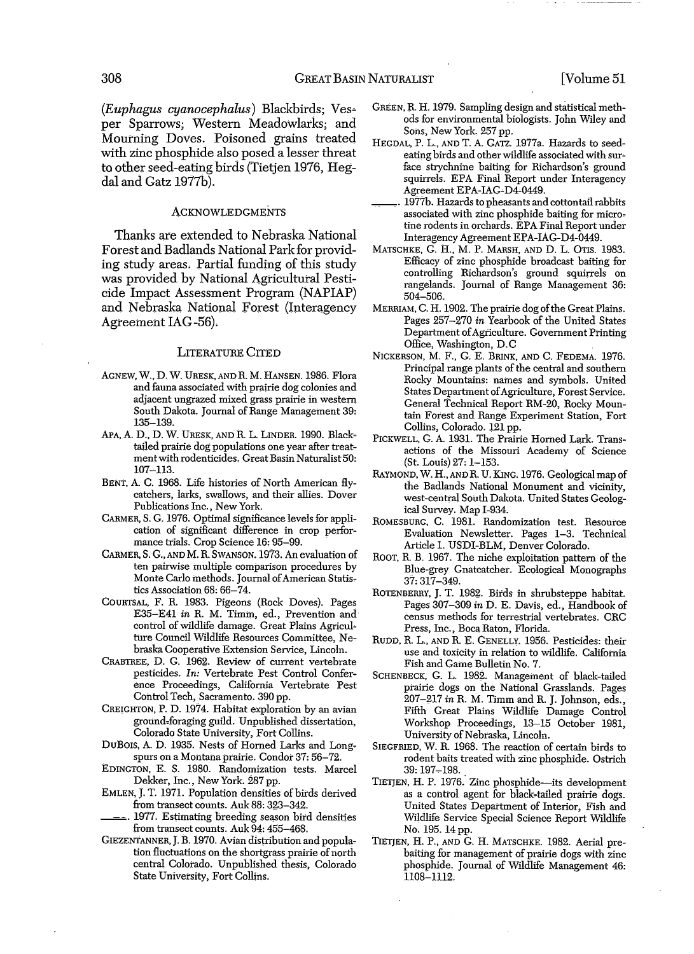*(Euphagu8 cyanocephalu8)* Blackbirds; Ves~ per Sparrows; Western Meadowlarks; and Mourning Doves. Poisoned grains treated with zinc phosphide also posed a lesser threat to other seed-eating birds (Tietjen 1976, Hegdal and Gatz 1977b).

#### **ACKNOWLEDGMENTS**

Thanks are extended to Nebraska National Forest and Badlands National Park for providing study areas. Partial funding of this study was provided by National Agricultural Pesticide Impact Assessment Program (NAPIAP) and Nebraska National Forest (Interagency Agreement lAG-56).

# LITERATURE CITED

- AGNEW, W., D. W. URESK, AND R. M. HANSEN. 1986. Flora and fauna associated with prairie dog colonies and adjacent ungrazed mixed grass prairie in western South Dakota. Journal of Range Management 39: 135-139.
- *MA,* A. D., D. W. URESK, AND R. L. LINDER. 1990. Black~ tailed prairie dog populations one year after treatmentwith rodenticides. Great Basin Naturalist 50: 107~113.
- BENT, A. C. 1968. Life histories of North American flycatchers, larks, swallows, and their allies. Dover Publications Inc., New York.
- CARMER, S. G. 1976. Optimal significance levels for application of significant difference in crop performance trials. Crop Science 16: 95-99.
- CARMER, S. G., AND M. R. SWANSON. 1973. An evaluation of ten pairwise multiple comparison procedures by Monte Carlo methods. Journal of American Statistics Association 68: 66-74.
- COURTSAL, F. R. 1983. Pigeons (Rock Doves). Pages E35-E41 *in* R. M. Timm, ed., Prevention and control of wildlife damage. Great Plains Agriculture Council Wildlife Resources Committee, Nebraska Cooperative Extension Service, Lincoln.
- CRABTREE, D. G. 1962. Review of current vertebrate pesticides. *In:* Vertebrate Pest Control Conference Proceedings, California Vertebrate Pest Control Tech, Sacramento. 390 pp.
- CREIGHTON, P. D. 1974. Habitat exploration by an avian ground~foraging guild. Unpublished dissertation, Colorado State University, Fort Collins.
- DuBOIS, A. D. 1935. Nests of Homed Larks and Longspurs on a Montana prairie. Condor 37: 56-'12.
- EDINGTON, E. S. 1980. Randomization tests. Marcel Dekker, Inc., New York. 287 pp.
- EMLEN, J. T. 1971. Population densities of birds derived from transect counts. Auk 88: 323-342.
- 1977. Estimating breeding season bird densities from transect counts. Auk 94: 455-468.
- GIEZENTANNER, J. B. 1970. Avian distribution and population fluctuations on the shortgrass prairie of north central Colorado. Unpublished thesis, Colorado State University, Fort Collins.
- GREEN, R. H. 1979. Sampling design and statistical methods for environmental biologists. John Wiley and Sons, New York. 257 pp.
- HEGDAL, P. L., AND T. A. GATZ. 1977a. Hazards to seedeating birds and other wildlife associated with surface strychnine baiting for Richardson's ground squirrels. EPA Final Report under Interagency Agreement EPA-IAG~ D4~0449.
- 1977b. Hazards to pheasants and cottontail rabbits associated with zinc phosphide baiting for microtine rodents in orchards. EPA Final Report under Interagency Agreement EPA-IAG-D4-0449.
- MATSCHKE, G. H., M. P. MARSH, AND D. L. OTIS. 1983. Efficacy of zinc phosphide broadcast baiting for controlling Richardson's ground squirrels on rangelands. Journal of Range Management 36: 504-506.
- MERRIAM, C. H. 1902. The prairie dog of the Great Plains. Pages 257-270 *in* Yearbook of the United States Department ofAgriculture. Government Printing Office, Washington, D.C
- NICKERSON, M. F., G. E. BRINK, AND C. FEDEMA. 1976. Principal range plants of the central and southern Rocky Mountains: names and symbols. United States Department of Agriculture, Forest Service. General Technical Report RM-20, Rocky Mountain Forest and Range Experiment Station, Fort Collins, Colorado. 121 pp.
- PICKWELL, G. A. 1931. The Prairie Homed Lark. Transactions of the Missouri Academy of Science (St. Louis) 27: 1-153.
- RAYMOND, W. H., AND R. U. KING. 1976. Geological map of the Badlands National Monument and vicinity, west-central South Dakota. United States Geological Survey. Map 1-934.
- ROMESBURG, C. 1981. Randomization test. Resource Evaluation Newsletter. Pages 1-3. Technical Article 1. USDI-BLM, Denver Colorado.
- ROOT, R. B. 196'1. The niche exploitation pattern of the Blue-grey Gnatcatcher. Ecological Monographs 37: 317-349.
- ROTENBERRY, J. T. 1982. Birds in shrubsteppe habitat. Pages 307-309 *in* D. E. Davis, ed., Handbook of census methods for terrestrial vertebrates. CRC Press, Inc., Boca Raton, Florida.
- RUDD. R. L., AND R. E. GENELLY. 1956. Pesticides: their use and toxicity in relation to wildlife. California Fish and Game Bulletin No.7.
- SCHENBECK, G. L. 1982. Management of black-tailed prairie dogs on the National Grasslands. Pages 207-217 *in* R. M. Timm and R. J. Johnson, eds., Fifth Great Plains Wildlife Damage Control Workshop Proceedings, 13-15 October 1981, University of Nebraska, Lincoln.
- SIEGFRIED, W. R. 1968. The reaction of certain birds to rodent baits treated with zinc phosphide. Ostrich 39: 197-198.
- TIETJEN, H. P. 1976. Zinc phosphide--its development as a control agent for black-tailed prairie dogs. United States Department of Interior, Fish and Wildlife Service Special Science Report Wildlife No. 195. 14pp.
- TIETJEN, H. P., AND G. H. MATSCHKE. 1982. Aerial prebaiting for management of prairie dogs with zinc phosphide. Journal of Wildlife Management 46: 1108-1112.